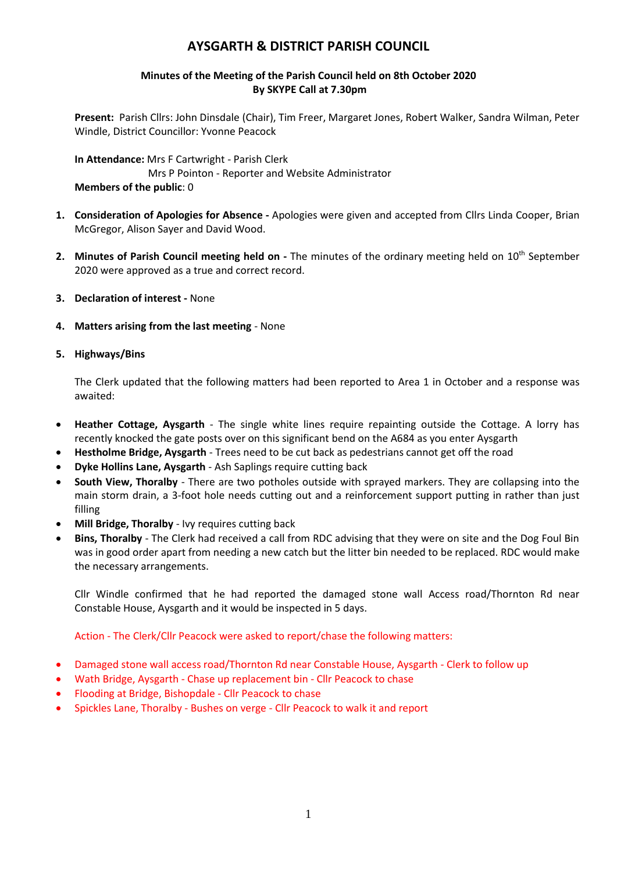# **AYSGARTH & DISTRICT PARISH COUNCIL**

# **Minutes of the Meeting of the Parish Council held on 8th October 2020 By SKYPE Call at 7.30pm**

**Present:** Parish Cllrs: John Dinsdale (Chair), Tim Freer, Margaret Jones, Robert Walker, Sandra Wilman, Peter Windle, District Councillor: Yvonne Peacock

**In Attendance:** Mrs F Cartwright - Parish Clerk Mrs P Pointon - Reporter and Website Administrator **Members of the public**: 0

- **1. Consideration of Apologies for Absence -** Apologies were given and accepted from Cllrs Linda Cooper, Brian McGregor, Alison Sayer and David Wood.
- 2. Minutes of Parish Council meeting held on The minutes of the ordinary meeting held on 10<sup>th</sup> September 2020 were approved as a true and correct record.
- **3. Declaration of interest -** None
- **4. Matters arising from the last meeting** None

# **5. Highways/Bins**

The Clerk updated that the following matters had been reported to Area 1 in October and a response was awaited:

- **Heather Cottage, Aysgarth** The single white lines require repainting outside the Cottage. A lorry has recently knocked the gate posts over on this significant bend on the A684 as you enter Aysgarth
- **Hestholme Bridge, Aysgarth**  Trees need to be cut back as pedestrians cannot get off the road
- **Dyke Hollins Lane, Aysgarth**  Ash Saplings require cutting back
- **South View, Thoralby**  There are two potholes outside with sprayed markers. They are collapsing into the main storm drain, a 3-foot hole needs cutting out and a reinforcement support putting in rather than just filling
- **Mill Bridge, Thoralby**  Ivy requires cutting back
- **Bins, Thoralby**  The Clerk had received a call from RDC advising that they were on site and the Dog Foul Bin was in good order apart from needing a new catch but the litter bin needed to be replaced. RDC would make the necessary arrangements.

Cllr Windle confirmed that he had reported the damaged stone wall Access road/Thornton Rd near Constable House, Aysgarth and it would be inspected in 5 days.

Action - The Clerk/Cllr Peacock were asked to report/chase the following matters:

- Damaged stone wall access road/Thornton Rd near Constable House, Aysgarth Clerk to follow up
- Wath Bridge, Aysgarth Chase up replacement bin Cllr Peacock to chase
- Flooding at Bridge, Bishopdale Cllr Peacock to chase
- Spickles Lane, Thoralby Bushes on verge Cllr Peacock to walk it and report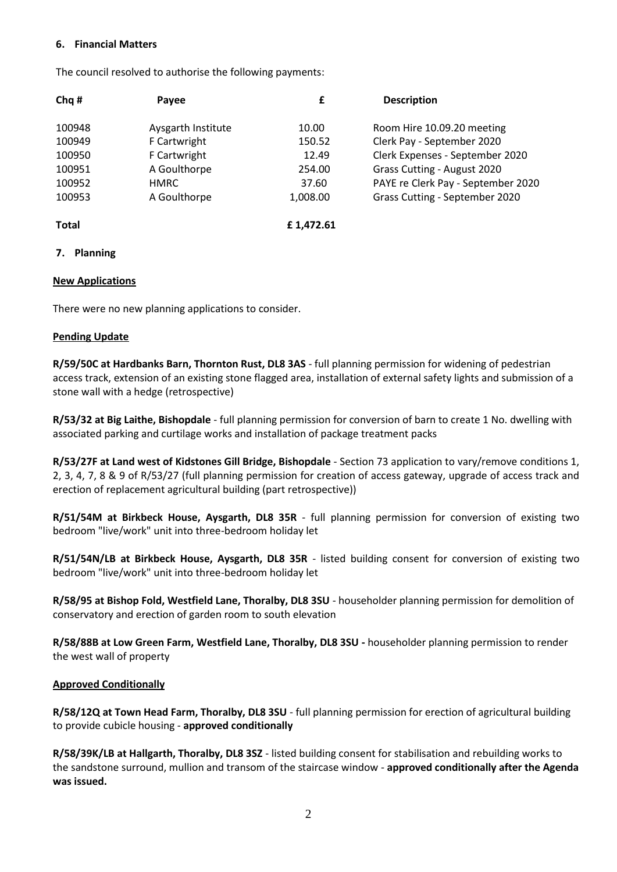#### **6. Financial Matters**

The council resolved to authorise the following payments:

| Chq#         | Payee              | £         | <b>Description</b>                 |
|--------------|--------------------|-----------|------------------------------------|
| 100948       | Aysgarth Institute | 10.00     | Room Hire 10.09.20 meeting         |
| 100949       | F Cartwright       | 150.52    | Clerk Pay - September 2020         |
| 100950       | F Cartwright       | 12.49     | Clerk Expenses - September 2020    |
| 100951       | A Goulthorpe       | 254.00    | Grass Cutting - August 2020        |
| 100952       | <b>HMRC</b>        | 37.60     | PAYE re Clerk Pay - September 2020 |
| 100953       | A Goulthorpe       | 1,008.00  | Grass Cutting - September 2020     |
| <b>Total</b> |                    | £1.472.61 |                                    |

#### **7. Planning**

#### **New Applications**

There were no new planning applications to consider.

#### **Pending Update**

**R/59/50C at Hardbanks Barn, Thornton Rust, DL8 3AS** - full planning permission for widening of pedestrian access track, extension of an existing stone flagged area, installation of external safety lights and submission of a stone wall with a hedge (retrospective)

**R/53/32 at Big Laithe, Bishopdale** - full planning permission for conversion of barn to create 1 No. dwelling with associated parking and curtilage works and installation of package treatment packs

**R/53/27F at Land west of Kidstones Gill Bridge, Bishopdale** - Section 73 application to vary/remove conditions 1, 2, 3, 4, 7, 8 & 9 of R/53/27 (full planning permission for creation of access gateway, upgrade of access track and erection of replacement agricultural building (part retrospective))

**R/51/54M at Birkbeck House, Aysgarth, DL8 35R** - full planning permission for conversion of existing two bedroom "live/work" unit into three-bedroom holiday let

**R/51/54N/LB at Birkbeck House, Aysgarth, DL8 35R** - listed building consent for conversion of existing two bedroom "live/work" unit into three-bedroom holiday let

**R/58/95 at Bishop Fold, Westfield Lane, Thoralby, DL8 3SU** - householder planning permission for demolition of conservatory and erection of garden room to south elevation

**R/58/88B at Low Green Farm, Westfield Lane, Thoralby, DL8 3SU -** householder planning permission to render the west wall of property

## **Approved Conditionally**

**R/58/12Q at Town Head Farm, Thoralby, DL8 3SU** - full planning permission for erection of agricultural building to provide cubicle housing - **approved conditionally**

**R/58/39K/LB at Hallgarth, Thoralby, DL8 3SZ** - listed building consent for stabilisation and rebuilding works to the sandstone surround, mullion and transom of the staircase window - **approved conditionally after the Agenda was issued.**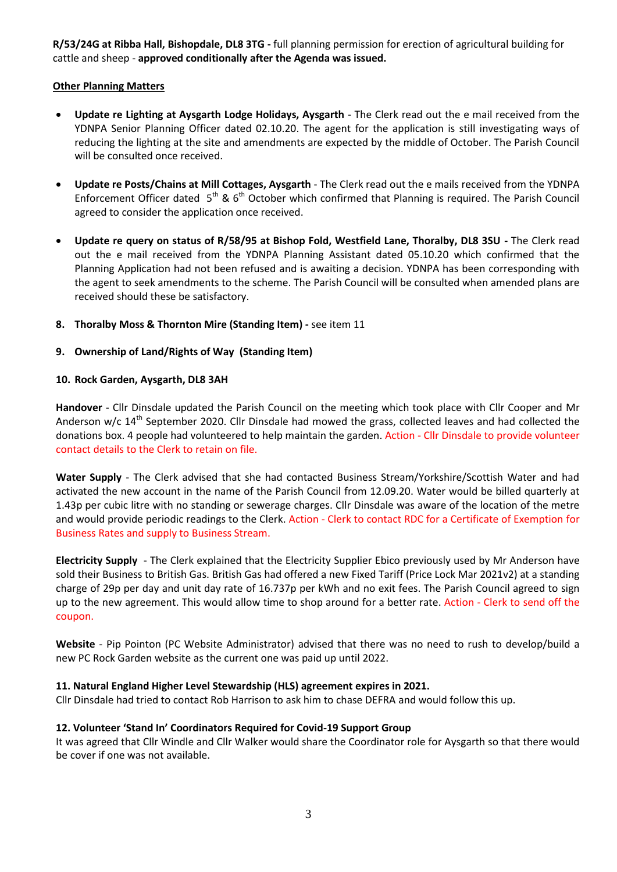**R/53/24G at Ribba Hall, Bishopdale, DL8 3TG -** full planning permission for erection of agricultural building for cattle and sheep - **approved conditionally after the Agenda was issued.**

# **Other Planning Matters**

- **Update re Lighting at Aysgarth Lodge Holidays, Aysgarth** The Clerk read out the e mail received from the YDNPA Senior Planning Officer dated 02.10.20. The agent for the application is still investigating ways of reducing the lighting at the site and amendments are expected by the middle of October. The Parish Council will be consulted once received.
- **Update re Posts/Chains at Mill Cottages, Aysgarth** The Clerk read out the e mails received from the YDNPA Enforcement Officer dated  $5<sup>th</sup>$  & 6<sup>th</sup> October which confirmed that Planning is required. The Parish Council agreed to consider the application once received.
- **Update re query on status of R/58/95 at Bishop Fold, Westfield Lane, Thoralby, DL8 3SU -** The Clerk read out the e mail received from the YDNPA Planning Assistant dated 05.10.20 which confirmed that the Planning Application had not been refused and is awaiting a decision. YDNPA has been corresponding with the agent to seek amendments to the scheme. The Parish Council will be consulted when amended plans are received should these be satisfactory.
- **8. Thoralby Moss & Thornton Mire (Standing Item) -** see item 11

# **9. Ownership of Land/Rights of Way (Standing Item)**

## **10. Rock Garden, Aysgarth, DL8 3AH**

**Handover** - Cllr Dinsdale updated the Parish Council on the meeting which took place with Cllr Cooper and Mr Anderson w/c  $14<sup>th</sup>$  September 2020. Cllr Dinsdale had mowed the grass, collected leaves and had collected the donations box. 4 people had volunteered to help maintain the garden. Action - Cllr Dinsdale to provide volunteer contact details to the Clerk to retain on file.

**Water Supply** - The Clerk advised that she had contacted Business Stream/Yorkshire/Scottish Water and had activated the new account in the name of the Parish Council from 12.09.20. Water would be billed quarterly at 1.43p per cubic litre with no standing or sewerage charges. Cllr Dinsdale was aware of the location of the metre and would provide periodic readings to the Clerk. Action - Clerk to contact RDC for a Certificate of Exemption for Business Rates and supply to Business Stream.

**Electricity Supply** - The Clerk explained that the Electricity Supplier Ebico previously used by Mr Anderson have sold their Business to British Gas. British Gas had offered a new Fixed Tariff (Price Lock Mar 2021v2) at a standing charge of 29p per day and unit day rate of 16.737p per kWh and no exit fees. The Parish Council agreed to sign up to the new agreement. This would allow time to shop around for a better rate. Action - Clerk to send off the coupon.

**Website** - Pip Pointon (PC Website Administrator) advised that there was no need to rush to develop/build a new PC Rock Garden website as the current one was paid up until 2022.

## **11. Natural England Higher Level Stewardship (HLS) agreement expires in 2021.**

Cllr Dinsdale had tried to contact Rob Harrison to ask him to chase DEFRA and would follow this up.

## **12. Volunteer 'Stand In' Coordinators Required for Covid-19 Support Group**

It was agreed that Cllr Windle and Cllr Walker would share the Coordinator role for Aysgarth so that there would be cover if one was not available.